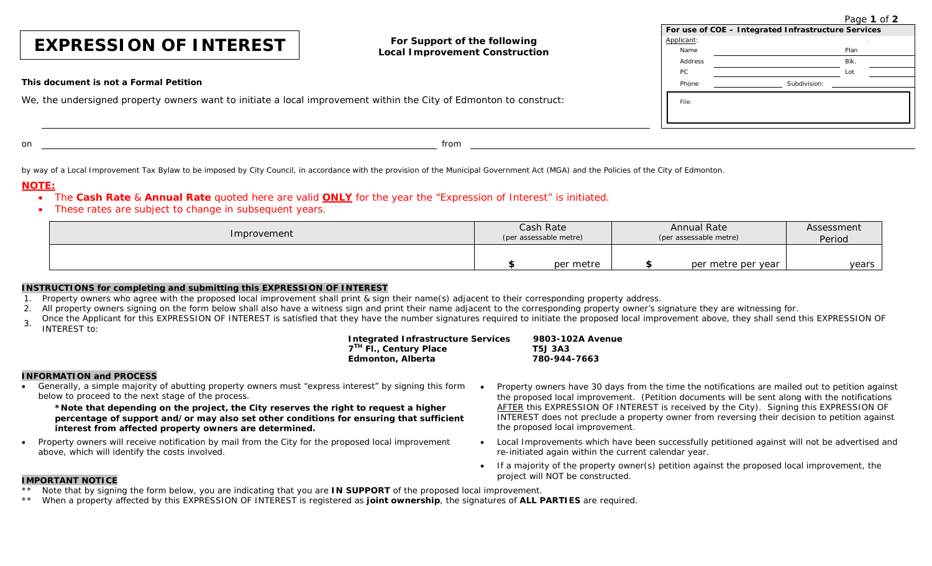Page **1** of **2**

|                                                                                                                    |                                       |              | For use of COE - Integrated Infrastructure Services |  |  |
|--------------------------------------------------------------------------------------------------------------------|---------------------------------------|--------------|-----------------------------------------------------|--|--|
| <b>EXPRESSION OF INTEREST</b>                                                                                      | For Support of the following          | Applicant:   |                                                     |  |  |
|                                                                                                                    | <b>Local Improvement Construction</b> | Name         | Plan                                                |  |  |
|                                                                                                                    |                                       | Address      | BIK.                                                |  |  |
|                                                                                                                    | PC                                    |              |                                                     |  |  |
| This document is not a Formal Petition                                                                             | Phone                                 | Subdivision: |                                                     |  |  |
| We, the undersigned property owners want to initiate a local improvement within the City of Edmonton to construct: | File:                                 |              |                                                     |  |  |
| on                                                                                                                 | from                                  |              |                                                     |  |  |

by way of a Local Improvement Tax Bylaw to be imposed by City Council, in accordance with the provision of the Municipal Government Act (MGA) and the Policies of the City of Edmonton.

## **NOTE:**

# • The **Cash Rate** & **Annual Rate** quoted here are valid **ONLY** for the year the "Expression of Interest" is initiated.

• These rates are subject to change in subsequent years.

| Improvement | Cash Rate              | <b>Annual Rate</b>     | Assessment |  |
|-------------|------------------------|------------------------|------------|--|
|             | (per assessable metre) | (per assessable metre) | Period     |  |
|             | per metre              | per metre per year     | years      |  |

#### **INSTRUCTIONS for completing and submitting this EXPRESSION OF INTEREST**

- 1. Property owners who agree with the proposed local improvement shall print & sign their name(s) adjacent to their corresponding property address.
- 2. All property owners signing on the form below shall also have a witness sign and print their name adjacent to the corresponding property owner's signature they are witnessing for.
- Once the Applicant for this EXPRESSION OF INTEREST is satisfied that they have the number signatures required to initiate the proposed local improvement above, they shall send this EXPRESSION OF INTEREST to:

| <b>Integrated Infrastructure Services</b> | 9803-102A Avenue |
|-------------------------------------------|------------------|
| 7 <sup>TH</sup> Fl., Century Place        | T5J 3A3          |
| Edmonton, Alberta                         | 780-944-7663     |

## **INFORMATION and PROCESS**

• Generally, a simple majority of abutting property owners must "express interest" by signing this form below to proceed to the next stage of the process.

**\*Note that depending on the project, the City reserves the right to request a higher percentage of support and/or may also set other conditions for ensuring that sufficient interest from affected property owners are determined.**

- Property owners will receive notification by mail from the City for the proposed local improvement above, which will identify the costs involved.
- Property owners have 30 days from the time the notifications are mailed out to petition against the proposed local improvement. (Petition documents will be sent along with the notifications AFTER this EXPRESSION OF INTEREST is received by the City). Signing this EXPRESSION OF INTEREST does not preclude a property owner from reversing their decision to petition against the proposed local improvement.
- Local Improvements which have been successfully petitioned against will not be advertised and re-initiated again within the current calendar year.
- If a majority of the property owner(s) petition against the proposed local improvement, the project will NOT be constructed.

#### **IMPORTANT NOTICE**

- Note that by signing the form below, you are indicating that you are **IN SUPPORT** of the proposed local improvement.
- \*\* When a property affected by this EXPRESSION OF INTEREST is registered as **joint ownership**, the signatures of **ALL PARTIES** are required.